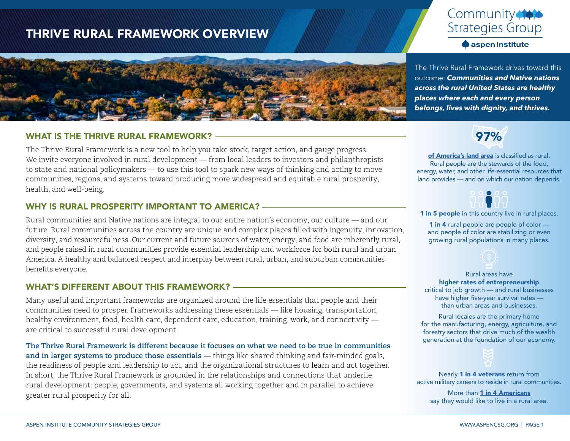## THRIVE RURAL FRAMEWORK OVERVIEW





#### WHAT IS THE THRIVE RURAL FRAMEWORK?

The Thrive Rural Framework is a new tool to help you take stock, target action, and gauge progress. We invite everyone involved in rural development — from local leaders to investors and philanthropists to state and national policymakers — to use this tool to spark new ways of thinking and acting to move communities, regions, and systems toward producing more widespread and equitable rural prosperity, health, and well-being.

#### WHY IS RURAL PROSPERITY IMPORTANT TO AMERICA?

Rural communities and Native nations are integral to our entire nation's economy, our culture — and our future. Rural communities across the country are unique and complex places filled with ingenuity, innovation, diversity, and resourcefulness. Our current and future sources of water, energy, and food are inherently rural, and people raised in rural communities provide essential leadership and workforce for both rural and urban America. A healthy and balanced respect and interplay between rural, urban, and suburban communities benefits everyone.

### WHAT'S DIFFERENT ABOUT THIS FRAMEWORK?

Many useful and important frameworks are organized around the life essentials that people and their communities need to prosper. Frameworks addressing these essentials — like housing, transportation, healthy environment, food, health care, dependent care, education, training, work, and connectivity are critical to successful rural development.

**The Thrive Rural Framework is different because it focuses on what we need to be true in communities and in larger systems to produce those essentials** — things like shared thinking and fair-minded goals, the readiness of people and leadership to act, and the organizational structures to learn and act together. In short, the Thrive Rural Framework is grounded in the relationships and connections that underlie rural development: people, governments, and systems all working together and in parallel to achieve greater rural prosperity for all.

The Thrive Rural Framework drives toward this outcome: *Communities and Native nations across the rural United States are healthy places where each and every person belongs, lives with dignity, and thrives.*



[of America's land area](https://www.census.gov/library/stories/2017/08/rural-america.html) is classified as rural. Rural people are the stewards of the food, energy, water, and other life-essential resources that land provides — and on which our nation depends.



[1 in 5 people](https://www.census.gov/library/stories/2017/08/rural-america.html) in this country live in rural places.

[1 in 4](https://www.brookings.edu/research/rural-main-streets-cant-achieve-economic-revival-without-bridging-social-divides/) rural people are people of color – and people of color are stabilizing or even growing rural populations in many places.



Rural areas have [higher rates of entrepreneurship](https://www.pbs.org/newshour/nation/six-charts-illustrate-divide-rural-urban-america) critical to job growth — and rural businesses have higher five-year survival rates —

than urban areas and businesses.

Rural locales are the primary home for the manufacturing, energy, agriculture, and forestry sectors that drive much of the wealth generation at the foundation of our economy.



Nearly [1 in 4 veterans](https://www.ruralhealth.va.gov/aboutus/ruralvets.asp) return from active military careers to reside in rural communities.

More than [1 in 4 Americans](https://news.gallup.com/poll/245249/americans-big-idea-living-country.aspx) say they would like to live in a rural area.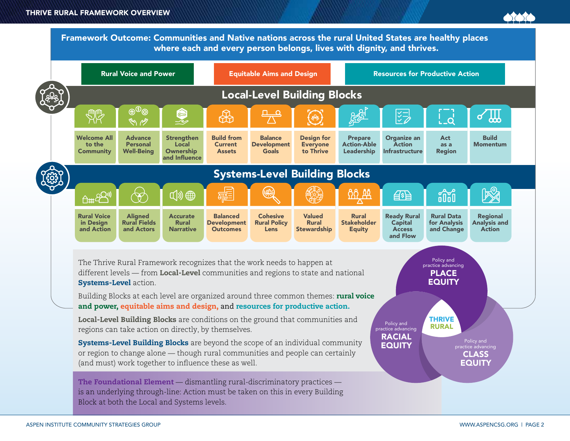Framework Outcome: Communities and Native nations across the rural United States are healthy places where each and every person belongs, lives with dignity, and thrives.

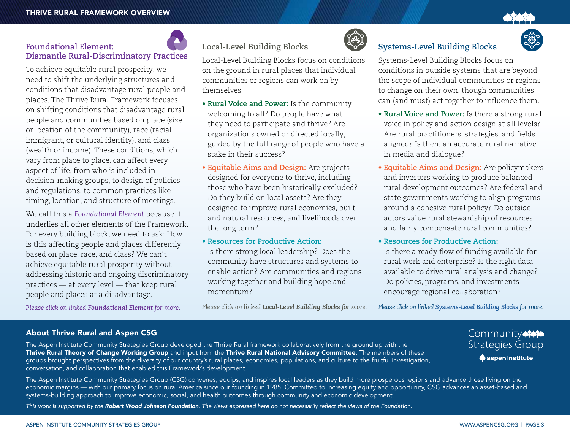**Dismantle Rural-Discriminatory Practices**

To achieve equitable rural prosperity, we need to shift the underlying structures and conditions that disadvantage rural people and places. The Thrive Rural Framework focuses on shifting conditions that disadvantage rural people and communities based on place (size or location of the community), race (racial, immigrant, or cultural identity), and class (wealth or income). These conditions, which vary from place to place, can affect every aspect of life, from who is included in

#### decision-making groups, to design of policies and regulations, to common practices like

**Foundational Element:** 

We call this a *Foundational Element* because it underlies all other elements of the Framework. For every building block, we need to ask: How is this affecting people and places differently based on place, race, and class? We can't achieve equitable rural prosperity without addressing historic and ongoing discriminatory practices — at every level — that keep rural people and places at a disadvantage.

timing, location, and structure of meetings.

*Please click on linked [Foundational Element](https://www.aspeninstitute.org/publications/the-thrive-rural-framework-foundational-element/) for more.*

#### About Thrive Rural and Aspen CSG

The Aspen Institute Community Strategies Group developed the Thrive Rural framework collaboratively from the ground up with the [Thrive Rural Theory of Change Working Group](https://www.aspeninstitute.org/team/thrive-rural-toc/) and input from the [Thrive Rural National Advisory Committee](https://www.aspeninstitute.org/team/thrive-rural-nac/). The members of these groups brought perspectives from the diversity of our country's rural places, economies, populations, and culture to the fruitful investigation, conversation, and collaboration that enabled this Framework's development.

The Aspen Institute Community Strategies Group (CSG) convenes, equips, and inspires local leaders as they build more prosperous regions and advance those living on the economic margins — with our primary focus on rural America since our founding in 1985. Committed to increasing equity and opportunity, CSG advances an asset-based and systems-building approach to improve economic, social, and health outcomes through community and economic development.

*This work is supported by the Robert Wood Johnson Foundation*. The views expressed here do not necessarily reflect the views of the Foundation.

## **Local-Level Building Blocks**

Local-Level Building Blocks focus on conditions on the ground in rural places that individual communities or regions can work on by themselves.

- **Rural Voice and Power:** Is the community welcoming to all? Do people have what they need to participate and thrive? Are organizations owned or directed locally, guided by the full range of people who have a stake in their success?
- **Equitable Aims and Design:** Are projects designed for everyone to thrive, including those who have been historically excluded? Do they build on local assets? Are they designed to improve rural economies, built and natural resources, and livelihoods over the long term?
- **Resources for Productive Action:** Is there strong local leadership? Does the community have structures and systems to enable action? Are communities and regions working together and building hope and momentum?

*Please click on linked [Local-Level Building Blocks](https://www.aspeninstitute.org/publications/thrive-rural-framework-local-level-building-blocks/) for more.*



Systems-Level Building Blocks focus on conditions in outside systems that are beyond the scope of individual communities or regions to change on their own, though communities can (and must) act together to influence them.

- **Rural Voice and Power:** Is there a strong rural voice in policy and action design at all levels? Are rural practitioners, strategies, and fields aligned? Is there an accurate rural narrative in media and dialogue?
- **Equitable Aims and Design:** Are policymakers and investors working to produce balanced rural development outcomes? Are federal and state governments working to align programs around a cohesive rural policy? Do outside actors value rural stewardship of resources and fairly compensate rural communities?
- **Resources for Productive Action:** Is there a ready flow of funding available for rural work and enterprise? Is the right data available to drive rural analysis and change? Do policies, programs, and investments encourage regional collaboration?

*Please click on linked [Systems-Level Building Blocks](https://www.aspeninstitute.org/publications/thrive-rural-framework-systems-level-building-blocks/) for more.*





Community **Strategies Group**  $\bullet$  aspen institute